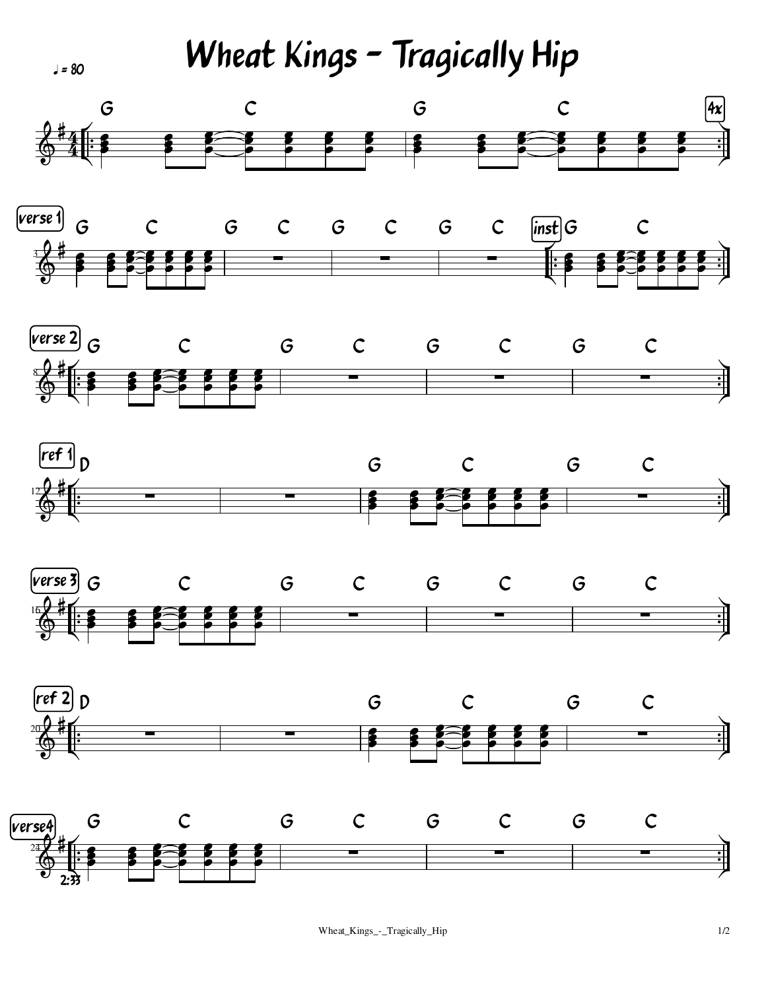Wheat Kings - Tragically Hip

 $J = 80$